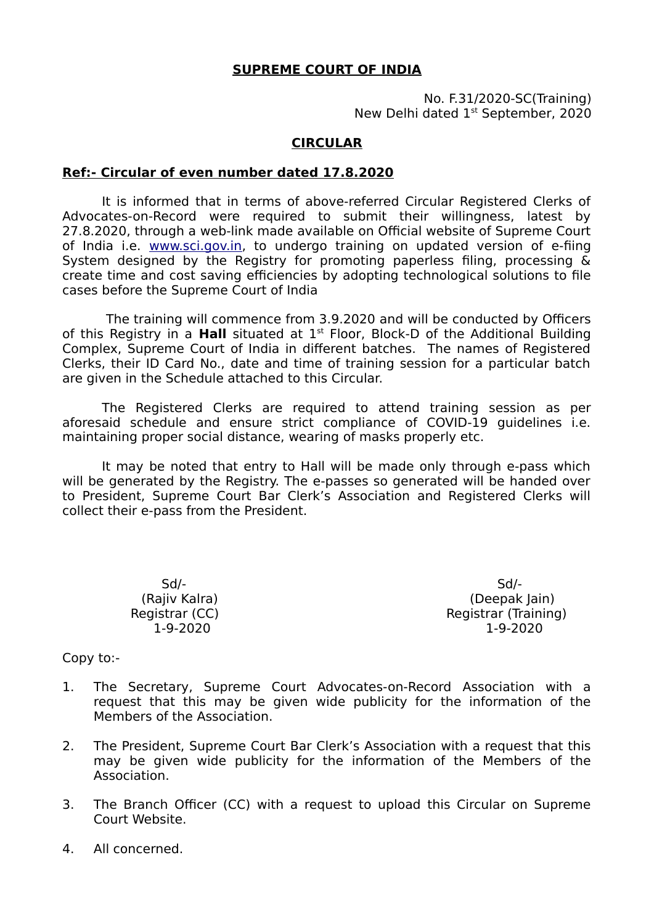### **SUPREME COURT OF INDIA**

No. F.31/2020-SC(Training) New Delhi dated 1<sup>st</sup> September, 2020

### **CIRCULAR**

### **Ref:- Circular of even number dated 17.8.2020**

It is informed that in terms of above-referred Circular Registered Clerks of Advocates-on-Record were required to submit their willingness, latest by 27.8.2020, through a web-link made available on Official website of Supreme Court of India i.e. [www.sci.gov.in](http://www.sci.gov.in/), to undergo training on updated version of e-fiing System designed by the Registry for promoting paperless filing, processing & create time and cost saving efficiencies by adopting technological solutions to file cases before the Supreme Court of India

 The training will commence from 3.9.2020 and will be conducted by Officers of this Registry in a **Hall** situated at 1st Floor, Block-D of the Additional Building Complex, Supreme Court of India in different batches. The names of Registered Clerks, their ID Card No., date and time of training session for a particular batch are given in the Schedule attached to this Circular.

The Registered Clerks are required to attend training session as per aforesaid schedule and ensure strict compliance of COVID-19 guidelines i.e. maintaining proper social distance, wearing of masks properly etc.

It may be noted that entry to Hall will be made only through e-pass which will be generated by the Registry. The e-passes so generated will be handed over to President, Supreme Court Bar Clerk's Association and Registered Clerks will collect their e-pass from the President.

Sd/- Sd/-

(Rajiv Kalra) (Deepak Jain) Registrar (CC) Registrar (Training) 1-9-2020 1-9-2020

Copy to:-

- 1. The Secretary, Supreme Court Advocates-on-Record Association with a request that this may be given wide publicity for the information of the Members of the Association.
- 2. The President, Supreme Court Bar Clerk's Association with a request that this may be given wide publicity for the information of the Members of the Association.
- 3. The Branch Officer (CC) with a request to upload this Circular on Supreme Court Website.
- 4. All concerned.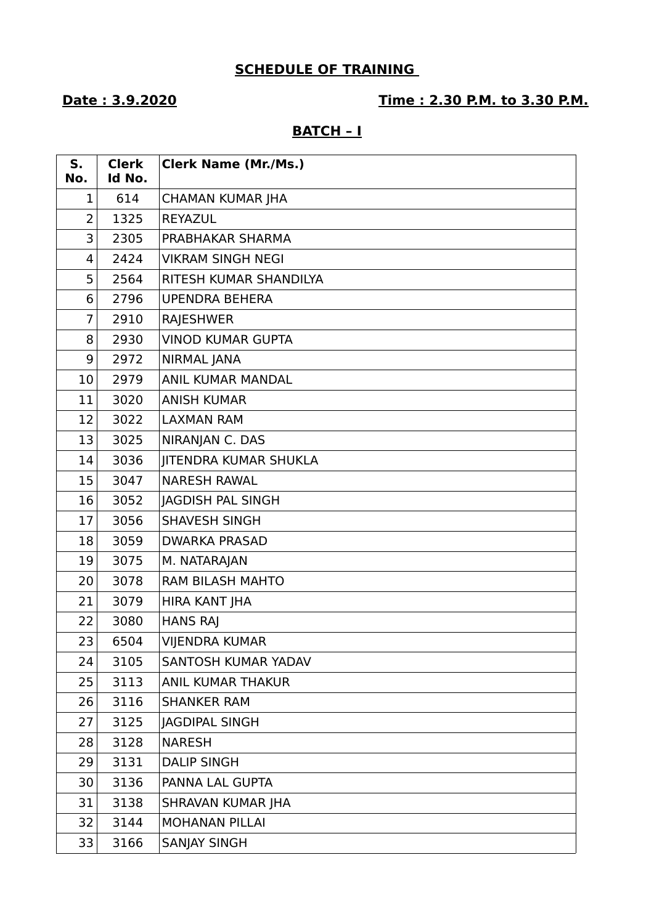# **SCHEDULE OF TRAINING**

### **Date : 3.9.2020 Time : 2.30 P.M. to 3.30 P.M.**

### **BATCH – I**

| S.<br>No.      | <b>Clerk</b><br>Id No. | <b>Clerk Name (Mr./Ms.)</b>  |
|----------------|------------------------|------------------------------|
| 1              | 614                    | <b>CHAMAN KUMAR JHA</b>      |
| 2              | 1325                   | REYAZUL                      |
| 3              | 2305                   | PRABHAKAR SHARMA             |
| 4              | 2424                   | <b>VIKRAM SINGH NEGI</b>     |
| 5              | 2564                   | RITESH KUMAR SHANDILYA       |
| 6              | 2796                   | <b>UPENDRA BEHERA</b>        |
| $\overline{7}$ | 2910                   | <b>RAJESHWER</b>             |
| 8              | 2930                   | <b>VINOD KUMAR GUPTA</b>     |
| 9              | 2972                   | <b>NIRMAL JANA</b>           |
| 10             | 2979                   | <b>ANIL KUMAR MANDAL</b>     |
| 11             | 3020                   | <b>ANISH KUMAR</b>           |
| 12             | 3022                   | <b>LAXMAN RAM</b>            |
| 13             | 3025                   | NIRANJAN C. DAS              |
| 14             | 3036                   | <b>JITENDRA KUMAR SHUKLA</b> |
| 15             | 3047                   | <b>NARESH RAWAL</b>          |
| 16             | 3052                   | <b>JAGDISH PAL SINGH</b>     |
| 17             | 3056                   | <b>SHAVESH SINGH</b>         |
| 18             | 3059                   | <b>DWARKA PRASAD</b>         |
| 19             | 3075                   | M. NATARAJAN                 |
| 20             | 3078                   | <b>RAM BILASH MAHTO</b>      |
| 21             | 3079                   | HIRA KANT JHA                |
| 22             | 3080                   | <b>HANS RAJ</b>              |
| 23             | 6504                   | <b>VIJENDRA KUMAR</b>        |
| 24             | 3105                   | SANTOSH KUMAR YADAV          |
| 25             | 3113                   | ANIL KUMAR THAKUR            |
| 26             | 3116                   | <b>SHANKER RAM</b>           |
| 27             | 3125                   | <b>JAGDIPAL SINGH</b>        |
| 28             | 3128                   | <b>NARESH</b>                |
| 29             | 3131                   | <b>DALIP SINGH</b>           |
| 30             | 3136                   | PANNA LAL GUPTA              |
| 31             | 3138                   | SHRAVAN KUMAR JHA            |
| 32             | 3144                   | <b>MOHANAN PILLAI</b>        |
| 33             | 3166                   | <b>SANJAY SINGH</b>          |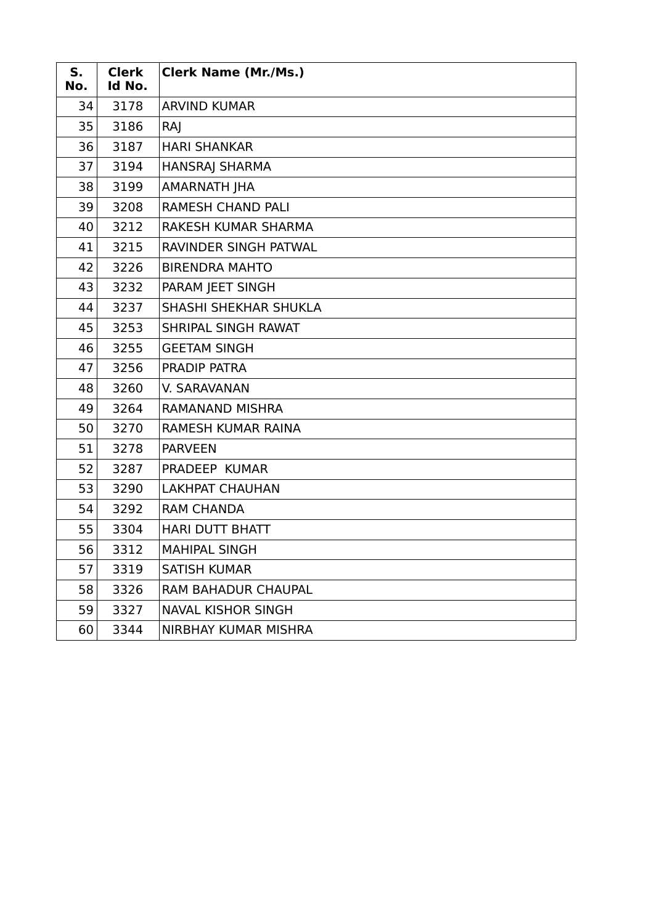| S.<br>No. | <b>Clerk</b><br>Id No. | <b>Clerk Name (Mr./Ms.)</b> |
|-----------|------------------------|-----------------------------|
| 34        | 3178                   | <b>ARVIND KUMAR</b>         |
| 35        | 3186                   | RAJ                         |
| 36        | 3187                   | <b>HARI SHANKAR</b>         |
| 37        | 3194                   | <b>HANSRAJ SHARMA</b>       |
| 38        | 3199                   | AMARNATH JHA                |
| 39        | 3208                   | <b>RAMESH CHAND PALI</b>    |
| 40        | 3212                   | RAKESH KUMAR SHARMA         |
| 41        | 3215                   | RAVINDER SINGH PATWAL       |
| 42        | 3226                   | <b>BIRENDRA MAHTO</b>       |
| 43        | 3232                   | PARAM JEET SINGH            |
| 44        | 3237                   | SHASHI SHEKHAR SHUKLA       |
| 45        | 3253                   | SHRIPAL SINGH RAWAT         |
| 46        | 3255                   | <b>GEETAM SINGH</b>         |
| 47        | 3256                   | PRADIP PATRA                |
| 48        | 3260                   | V. SARAVANAN                |
| 49        | 3264                   | <b>RAMANAND MISHRA</b>      |
| 50        | 3270                   | RAMESH KUMAR RAINA          |
| 51        | 3278                   | <b>PARVEEN</b>              |
| 52        | 3287                   | PRADEEP KUMAR               |
| 53        | 3290                   | <b>LAKHPAT CHAUHAN</b>      |
| 54        | 3292                   | <b>RAM CHANDA</b>           |
| 55        | 3304                   | <b>HARI DUTT BHATT</b>      |
| 56        | 3312                   | <b>MAHIPAL SINGH</b>        |
| 57        | 3319                   | <b>SATISH KUMAR</b>         |
| 58        | 3326                   | RAM BAHADUR CHAUPAL         |
| 59        | 3327                   | <b>NAVAL KISHOR SINGH</b>   |
| 60        | 3344                   | NIRBHAY KUMAR MISHRA        |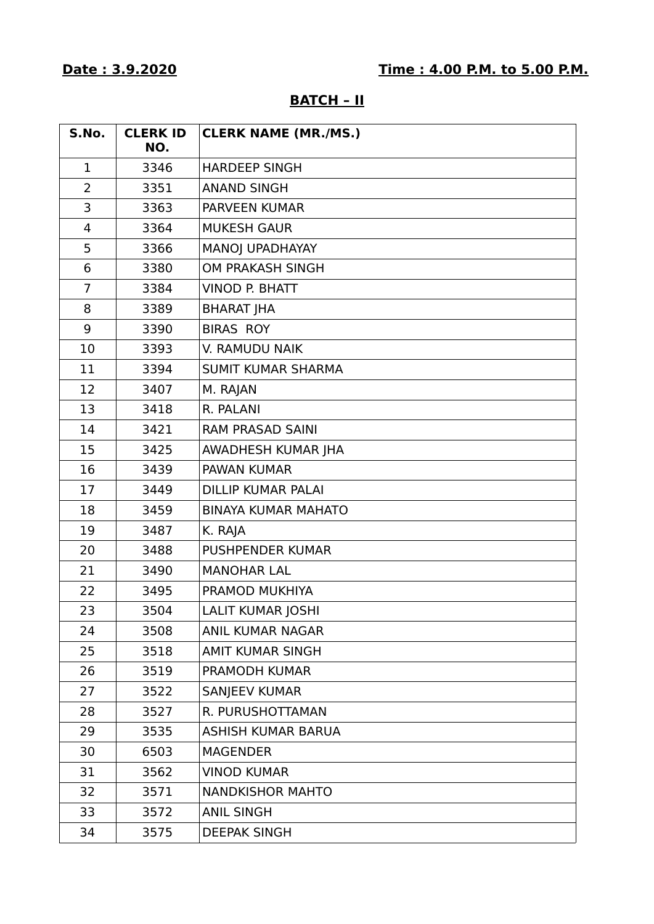| S.No.          | <b>CLERK ID</b><br>NO. | <b>CLERK NAME (MR./MS.)</b> |
|----------------|------------------------|-----------------------------|
| $\mathbf{1}$   | 3346                   | <b>HARDEEP SINGH</b>        |
| $\overline{2}$ | 3351                   | <b>ANAND SINGH</b>          |
| 3              | 3363                   | PARVEEN KUMAR               |
| $\overline{4}$ | 3364                   | <b>MUKESH GAUR</b>          |
| 5              | 3366                   | MANOJ UPADHAYAY             |
| 6              | 3380                   | OM PRAKASH SINGH            |
| $\overline{7}$ | 3384                   | <b>VINOD P. BHATT</b>       |
| 8              | 3389                   | <b>BHARAT JHA</b>           |
| 9              | 3390                   | <b>BIRAS ROY</b>            |
| 10             | 3393                   | V. RAMUDU NAIK              |
| 11             | 3394                   | <b>SUMIT KUMAR SHARMA</b>   |
| 12             | 3407                   | M. RAJAN                    |
| 13             | 3418                   | R. PALANI                   |
| 14             | 3421                   | RAM PRASAD SAINI            |
| 15             | 3425                   | AWADHESH KUMAR JHA          |
| 16             | 3439                   | <b>PAWAN KUMAR</b>          |
| 17             | 3449                   | <b>DILLIP KUMAR PALAI</b>   |
| 18             | 3459                   | <b>BINAYA KUMAR MAHATO</b>  |
| 19             | 3487                   | K. RAJA                     |
| 20             | 3488                   | <b>PUSHPENDER KUMAR</b>     |
| 21             | 3490                   | <b>MANOHAR LAL</b>          |
| 22             | 3495                   | PRAMOD MUKHIYA              |
| 23             | 3504                   | <b>LALIT KUMAR JOSHI</b>    |
| 24             | 3508                   | <b>ANIL KUMAR NAGAR</b>     |
| 25             | 3518                   | <b>AMIT KUMAR SINGH</b>     |
| 26             | 3519                   | PRAMODH KUMAR               |
| 27             | 3522                   | <b>SANJEEV KUMAR</b>        |
| 28             | 3527                   | R. PURUSHOTTAMAN            |
| 29             | 3535                   | <b>ASHISH KUMAR BARUA</b>   |
| 30             | 6503                   | <b>MAGENDER</b>             |
| 31             | 3562                   | <b>VINOD KUMAR</b>          |
| 32             | 3571                   | <b>NANDKISHOR MAHTO</b>     |
| 33             | 3572                   | <b>ANIL SINGH</b>           |
| 34             | 3575                   | <b>DEEPAK SINGH</b>         |

### **BATCH – II**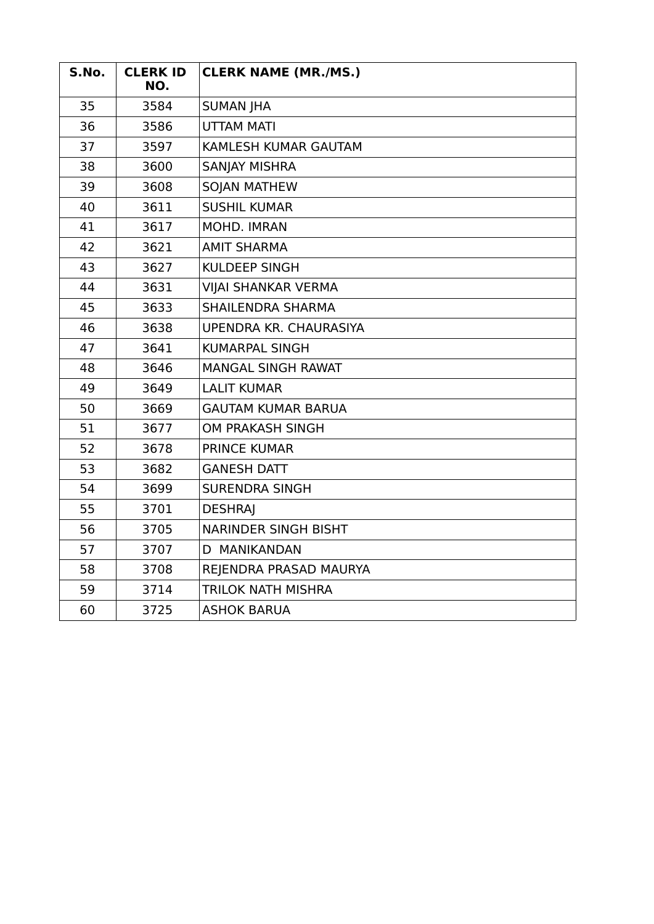| S.No. | <b>CLERK ID</b><br>NO. | <b>CLERK NAME (MR./MS.)</b> |
|-------|------------------------|-----------------------------|
| 35    | 3584                   | <b>SUMAN JHA</b>            |
| 36    | 3586                   | <b>UTTAM MATI</b>           |
| 37    | 3597                   | KAMLESH KUMAR GAUTAM        |
| 38    | 3600                   | <b>SANJAY MISHRA</b>        |
| 39    | 3608                   | <b>SOJAN MATHEW</b>         |
| 40    | 3611                   | <b>SUSHIL KUMAR</b>         |
| 41    | 3617                   | MOHD. IMRAN                 |
| 42    | 3621                   | <b>AMIT SHARMA</b>          |
| 43    | 3627                   | <b>KULDEEP SINGH</b>        |
| 44    | 3631                   | <b>VIJAI SHANKAR VERMA</b>  |
| 45    | 3633                   | <b>SHAILENDRA SHARMA</b>    |
| 46    | 3638                   | UPENDRA KR. CHAURASIYA      |
| 47    | 3641                   | <b>KUMARPAL SINGH</b>       |
| 48    | 3646                   | <b>MANGAL SINGH RAWAT</b>   |
| 49    | 3649                   | <b>LALIT KUMAR</b>          |
| 50    | 3669                   | <b>GAUTAM KUMAR BARUA</b>   |
| 51    | 3677                   | <b>OM PRAKASH SINGH</b>     |
| 52    | 3678                   | <b>PRINCE KUMAR</b>         |
| 53    | 3682                   | <b>GANESH DATT</b>          |
| 54    | 3699                   | <b>SURENDRA SINGH</b>       |
| 55    | 3701                   | <b>DESHRAJ</b>              |
| 56    | 3705                   | <b>NARINDER SINGH BISHT</b> |
| 57    | 3707                   | D MANIKANDAN                |
| 58    | 3708                   | REJENDRA PRASAD MAURYA      |
| 59    | 3714                   | <b>TRILOK NATH MISHRA</b>   |
| 60    | 3725                   | <b>ASHOK BARUA</b>          |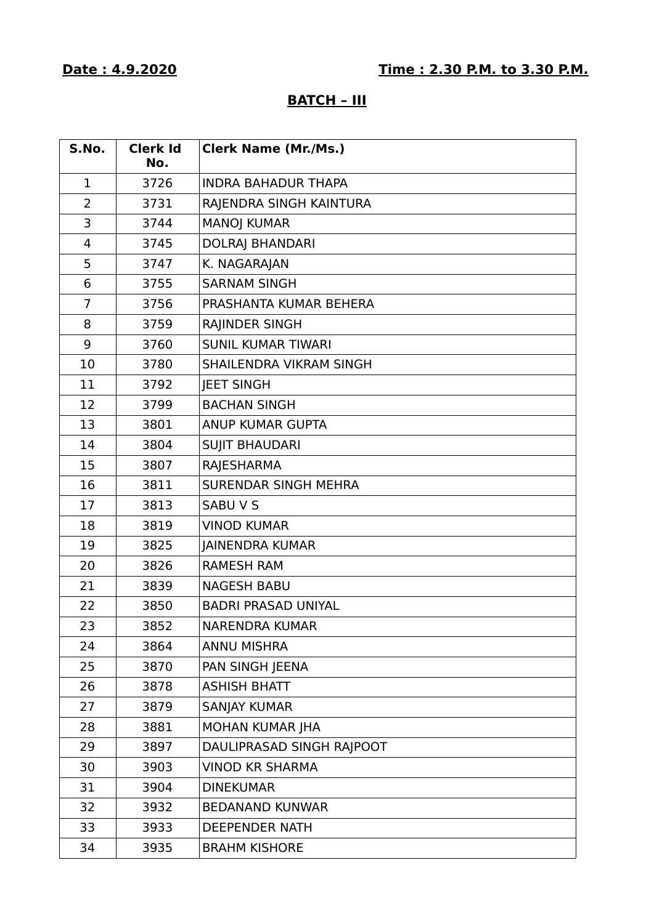## **BATCH – III**

| S.No.          | <b>Clerk Id</b><br>No. | <b>Clerk Name (Mr./Ms.)</b> |
|----------------|------------------------|-----------------------------|
| $\mathbf{1}$   | 3726                   | <b>INDRA BAHADUR THAPA</b>  |
| $\overline{2}$ | 3731                   | RAJENDRA SINGH KAINTURA     |
| 3              | 3744                   | <b>MANOJ KUMAR</b>          |
| 4              | 3745                   | <b>DOLRAJ BHANDARI</b>      |
| 5              | 3747                   | K. NAGARAJAN                |
| 6              | 3755                   | <b>SARNAM SINGH</b>         |
| $\overline{7}$ | 3756                   | PRASHANTA KUMAR BEHERA      |
| 8              | 3759                   | RAJINDER SINGH              |
| 9              | 3760                   | <b>SUNIL KUMAR TIWARI</b>   |
| 10             | 3780                   | SHAILENDRA VIKRAM SINGH     |
| 11             | 3792                   | <b>JEET SINGH</b>           |
| 12             | 3799                   | <b>BACHAN SINGH</b>         |
| 13             | 3801                   | ANUP KUMAR GUPTA            |
| 14             | 3804                   | <b>SUJIT BHAUDARI</b>       |
| 15             | 3807                   | RAJESHARMA                  |
| 16             | 3811                   | <b>SURENDAR SINGH MEHRA</b> |
| 17             | 3813                   | <b>SABU V S</b>             |
| 18             | 3819                   | <b>VINOD KUMAR</b>          |
| 19             | 3825                   | <b>JAINENDRA KUMAR</b>      |
| 20             | 3826                   | <b>RAMESH RAM</b>           |
| 21             | 3839                   | <b>NAGESH BABU</b>          |
| 22             | 3850                   | <b>BADRI PRASAD UNIYAL</b>  |
| 23             | 3852                   | <b>NARENDRA KUMAR</b>       |
| 24             | 3864                   | <b>ANNU MISHRA</b>          |
| 25             | 3870                   | PAN SINGH JEENA             |
| 26             | 3878                   | <b>ASHISH BHATT</b>         |
| 27             | 3879                   | <b>SANJAY KUMAR</b>         |
| 28             | 3881                   | MOHAN KUMAR JHA             |
| 29             | 3897                   | DAULIPRASAD SINGH RAJPOOT   |
| 30             | 3903                   | <b>VINOD KR SHARMA</b>      |
| 31             | 3904                   | <b>DINEKUMAR</b>            |
| 32             | 3932                   | <b>BEDANAND KUNWAR</b>      |
| 33             | 3933                   | <b>DEEPENDER NATH</b>       |
| 34             | 3935                   | <b>BRAHM KISHORE</b>        |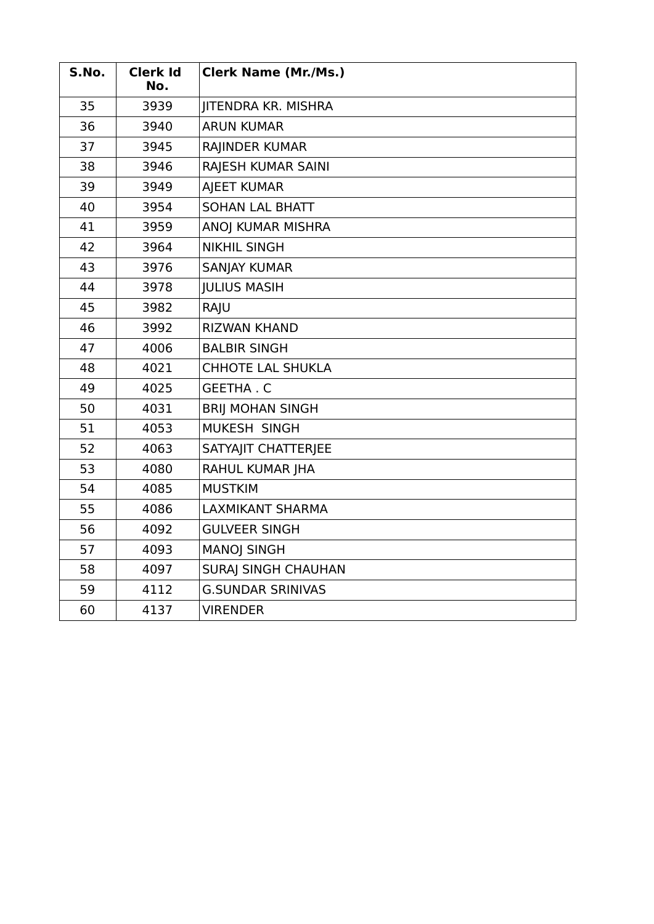| S.No. | <b>Clerk Id</b><br>No. | <b>Clerk Name (Mr./Ms.)</b> |
|-------|------------------------|-----------------------------|
| 35    | 3939                   | JITENDRA KR. MISHRA         |
| 36    | 3940                   | <b>ARUN KUMAR</b>           |
| 37    | 3945                   | RAJINDER KUMAR              |
| 38    | 3946                   | RAJESH KUMAR SAINI          |
| 39    | 3949                   | <b>AJEET KUMAR</b>          |
| 40    | 3954                   | <b>SOHAN LAL BHATT</b>      |
| 41    | 3959                   | ANOJ KUMAR MISHRA           |
| 42    | 3964                   | <b>NIKHIL SINGH</b>         |
| 43    | 3976                   | <b>SANJAY KUMAR</b>         |
| 44    | 3978                   | <b>JULIUS MASIH</b>         |
| 45    | 3982                   | RAJU                        |
| 46    | 3992                   | <b>RIZWAN KHAND</b>         |
| 47    | 4006                   | <b>BALBIR SINGH</b>         |
| 48    | 4021                   | <b>CHHOTE LAL SHUKLA</b>    |
| 49    | 4025                   | <b>GEETHA.C</b>             |
| 50    | 4031                   | <b>BRIJ MOHAN SINGH</b>     |
| 51    | 4053                   | MUKESH SINGH                |
| 52    | 4063                   | SATYAJIT CHATTERJEE         |
| 53    | 4080                   | RAHUL KUMAR JHA             |
| 54    | 4085                   | <b>MUSTKIM</b>              |
| 55    | 4086                   | <b>LAXMIKANT SHARMA</b>     |
| 56    | 4092                   | <b>GULVEER SINGH</b>        |
| 57    | 4093                   | <b>MANOJ SINGH</b>          |
| 58    | 4097                   | <b>SURAJ SINGH CHAUHAN</b>  |
| 59    | 4112                   | <b>G.SUNDAR SRINIVAS</b>    |
| 60    | 4137                   | <b>VIRENDER</b>             |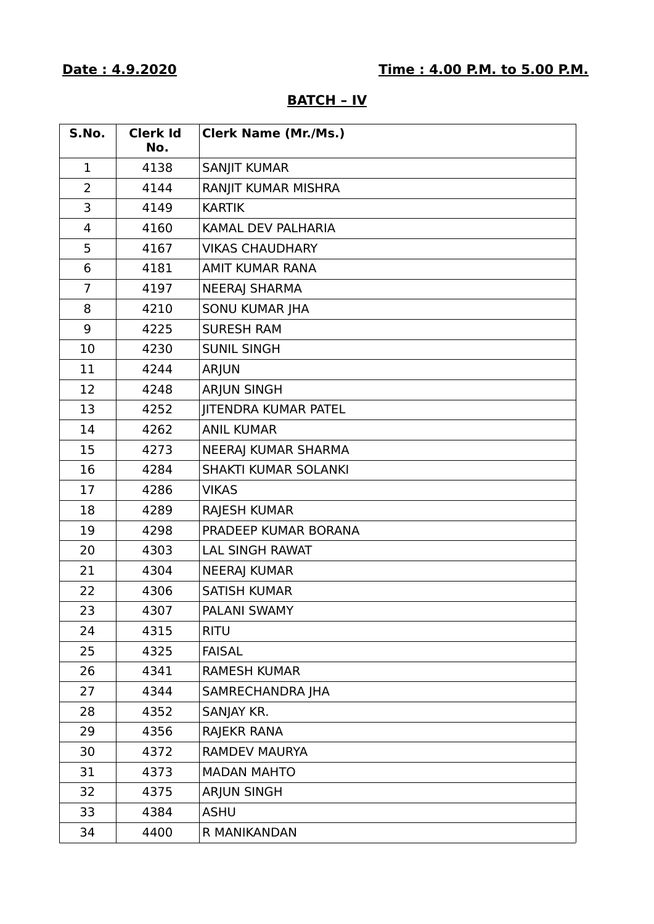| S.No.          | <b>Clerk Id</b><br>No. | <b>Clerk Name (Mr./Ms.)</b> |
|----------------|------------------------|-----------------------------|
| $\mathbf 1$    | 4138                   | <b>SANJIT KUMAR</b>         |
| $\overline{2}$ | 4144                   | RANJIT KUMAR MISHRA         |
| 3              | 4149                   | <b>KARTIK</b>               |
| $\overline{4}$ | 4160                   | KAMAL DEV PALHARIA          |
| 5              | 4167                   | <b>VIKAS CHAUDHARY</b>      |
| 6              | 4181                   | <b>AMIT KUMAR RANA</b>      |
| $\overline{7}$ | 4197                   | <b>NEERAJ SHARMA</b>        |
| 8              | 4210                   | <b>SONU KUMAR JHA</b>       |
| 9              | 4225                   | <b>SURESH RAM</b>           |
| 10             | 4230                   | <b>SUNIL SINGH</b>          |
| 11             | 4244                   | ARJUN                       |
| 12             | 4248                   | <b>ARJUN SINGH</b>          |
| 13             | 4252                   | <b>IITENDRA KUMAR PATEL</b> |
| 14             | 4262                   | <b>ANIL KUMAR</b>           |
| 15             | 4273                   | <b>NEERAJ KUMAR SHARMA</b>  |
| 16             | 4284                   | SHAKTI KUMAR SOLANKI        |
| 17             | 4286                   | <b>VIKAS</b>                |
| 18             | 4289                   | <b>RAJESH KUMAR</b>         |
| 19             | 4298                   | PRADEEP KUMAR BORANA        |
| 20             | 4303                   | <b>LAL SINGH RAWAT</b>      |
| 21             | 4304                   | <b>NEERAJ KUMAR</b>         |
| 22             | 4306                   | <b>SATISH KUMAR</b>         |
| 23             | 4307                   | PALANI SWAMY                |
| 24             | 4315                   | <b>RITU</b>                 |
| 25             | 4325                   | <b>FAISAL</b>               |
| 26             | 4341                   | <b>RAMESH KUMAR</b>         |
| 27             | 4344                   | SAMRECHANDRA JHA            |
| 28             | 4352                   | SANJAY KR.                  |
| 29             | 4356                   | RAJEKR RANA                 |
| 30             | 4372                   | <b>RAMDEV MAURYA</b>        |
| 31             | 4373                   | <b>MADAN MAHTO</b>          |
| 32             | 4375                   | <b>ARJUN SINGH</b>          |
| 33             | 4384                   | <b>ASHU</b>                 |
| 34             | 4400                   | R MANIKANDAN                |

### **BATCH – IV**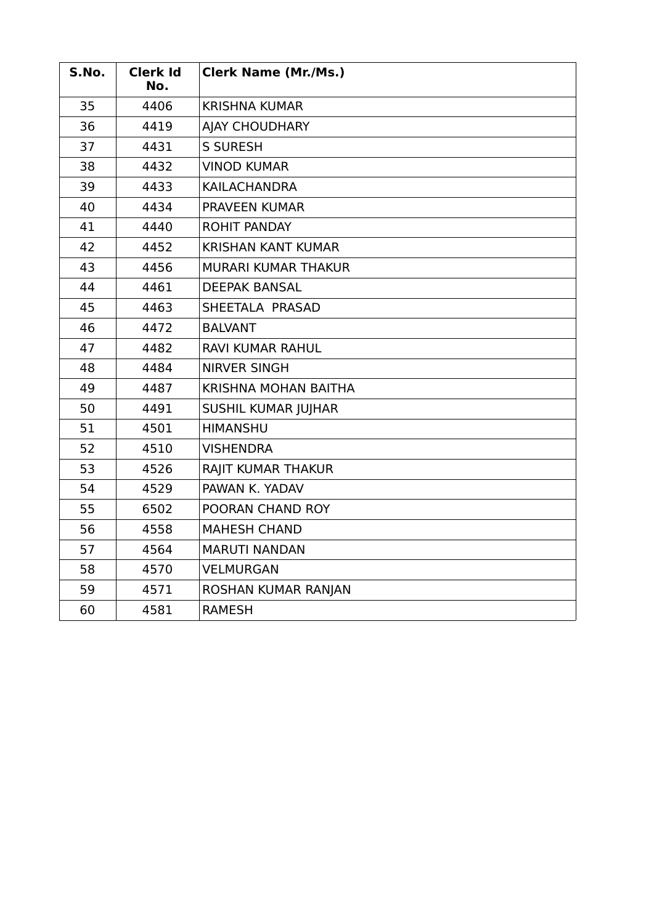| S.No. | <b>Clerk Id</b><br>No. | <b>Clerk Name (Mr./Ms.)</b> |
|-------|------------------------|-----------------------------|
| 35    | 4406                   | <b>KRISHNA KUMAR</b>        |
| 36    | 4419                   | <b>AJAY CHOUDHARY</b>       |
| 37    | 4431                   | <b>S SURESH</b>             |
| 38    | 4432                   | <b>VINOD KUMAR</b>          |
| 39    | 4433                   | <b>KAILACHANDRA</b>         |
| 40    | 4434                   | <b>PRAVEEN KUMAR</b>        |
| 41    | 4440                   | <b>ROHIT PANDAY</b>         |
| 42    | 4452                   | <b>KRISHAN KANT KUMAR</b>   |
| 43    | 4456                   | MURARI KUMAR THAKUR         |
| 44    | 4461                   | <b>DEEPAK BANSAL</b>        |
| 45    | 4463                   | SHEETALA PRASAD             |
| 46    | 4472                   | <b>BALVANT</b>              |
| 47    | 4482                   | <b>RAVI KUMAR RAHUL</b>     |
| 48    | 4484                   | <b>NIRVER SINGH</b>         |
| 49    | 4487                   | <b>KRISHNA MOHAN BAITHA</b> |
| 50    | 4491                   | SUSHIL KUMAR JUJHAR         |
| 51    | 4501                   | <b>HIMANSHU</b>             |
| 52    | 4510                   | <b>VISHENDRA</b>            |
| 53    | 4526                   | RAJIT KUMAR THAKUR          |
| 54    | 4529                   | PAWAN K. YADAV              |
| 55    | 6502                   | POORAN CHAND ROY            |
| 56    | 4558                   | <b>MAHESH CHAND</b>         |
| 57    | 4564                   | <b>MARUTI NANDAN</b>        |
| 58    | 4570                   | <b>VELMURGAN</b>            |
| 59    | 4571                   | ROSHAN KUMAR RANJAN         |
| 60    | 4581                   | <b>RAMESH</b>               |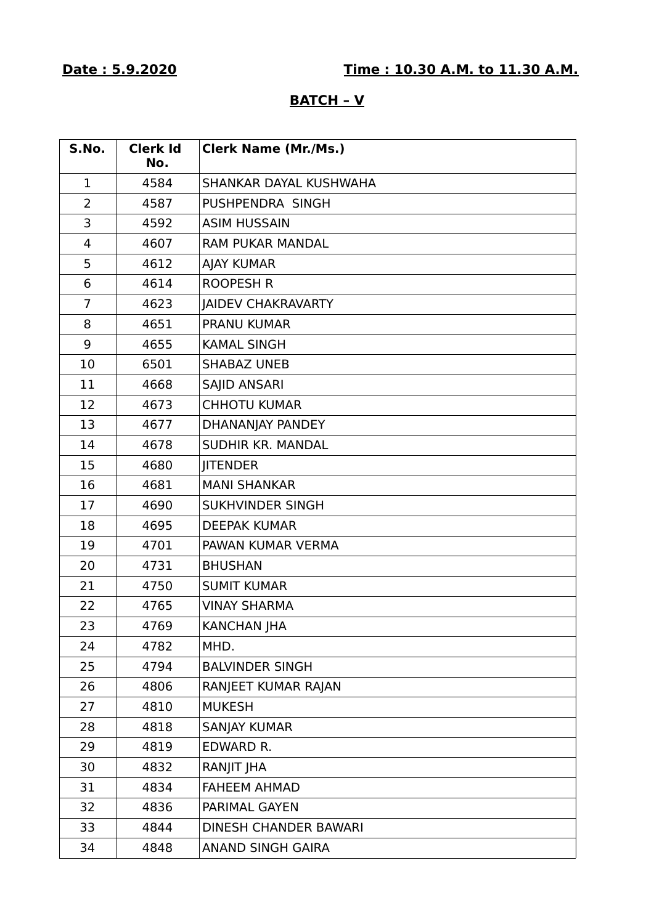## **BATCH – V**

| S.No.          | <b>Clerk Id</b><br>No. | <b>Clerk Name (Mr./Ms.)</b>  |
|----------------|------------------------|------------------------------|
| $\mathbf 1$    | 4584                   | SHANKAR DAYAL KUSHWAHA       |
| $\overline{2}$ | 4587                   | PUSHPENDRA SINGH             |
| 3              | 4592                   | <b>ASIM HUSSAIN</b>          |
| 4              | 4607                   | <b>RAM PUKAR MANDAL</b>      |
| 5              | 4612                   | <b>AJAY KUMAR</b>            |
| 6              | 4614                   | <b>ROOPESH R</b>             |
| $\overline{7}$ | 4623                   | <b>JAIDEV CHAKRAVARTY</b>    |
| 8              | 4651                   | <b>PRANU KUMAR</b>           |
| 9              | 4655                   | <b>KAMAL SINGH</b>           |
| 10             | 6501                   | <b>SHABAZ UNEB</b>           |
| 11             | 4668                   | <b>SAJID ANSARI</b>          |
| 12             | 4673                   | <b>CHHOTU KUMAR</b>          |
| 13             | 4677                   | DHANANJAY PANDEY             |
| 14             | 4678                   | <b>SUDHIR KR. MANDAL</b>     |
| 15             | 4680                   | <b>JITENDER</b>              |
| 16             | 4681                   | <b>MANI SHANKAR</b>          |
| 17             | 4690                   | <b>SUKHVINDER SINGH</b>      |
| 18             | 4695                   | <b>DEEPAK KUMAR</b>          |
| 19             | 4701                   | PAWAN KUMAR VERMA            |
| 20             | 4731                   | <b>BHUSHAN</b>               |
| 21             | 4750                   | <b>SUMIT KUMAR</b>           |
| 22             | 4765                   | <b>VINAY SHARMA</b>          |
| 23             | 4769                   | <b>KANCHAN JHA</b>           |
| 24             | 4782                   | MHD.                         |
| 25             | 4794                   | <b>BALVINDER SINGH</b>       |
| 26             | 4806                   | RANJEET KUMAR RAJAN          |
| 27             | 4810                   | <b>MUKESH</b>                |
| 28             | 4818                   | <b>SANJAY KUMAR</b>          |
| 29             | 4819                   | EDWARD R.                    |
| 30             | 4832                   | RANJIT JHA                   |
| 31             | 4834                   | <b>FAHEEM AHMAD</b>          |
| 32             | 4836                   | PARIMAL GAYEN                |
| 33             | 4844                   | <b>DINESH CHANDER BAWARI</b> |
| 34             | 4848                   | <b>ANAND SINGH GAIRA</b>     |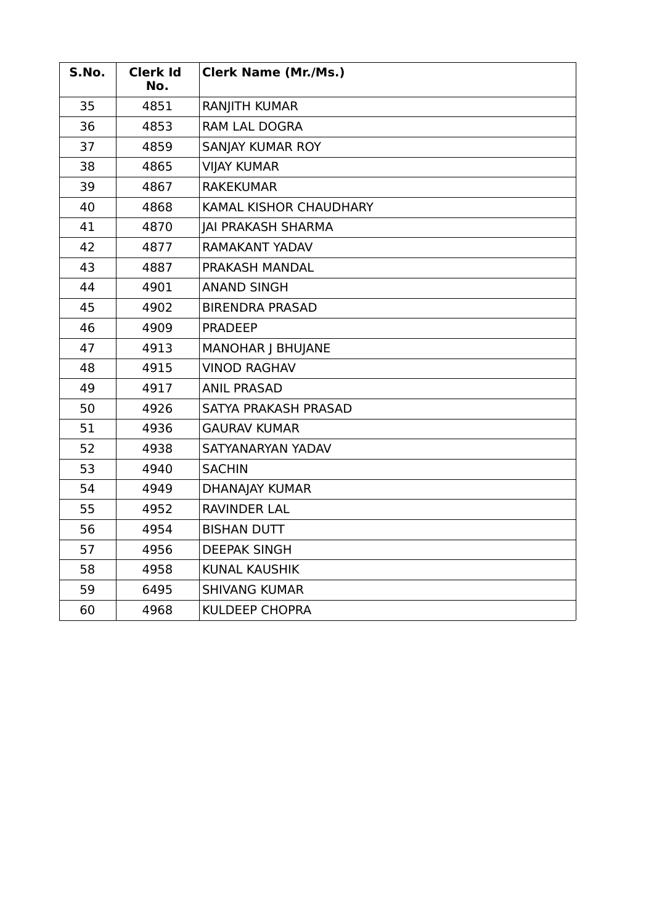| S.No. | <b>Clerk Id</b><br>No. | <b>Clerk Name (Mr./Ms.)</b>   |
|-------|------------------------|-------------------------------|
| 35    | 4851                   | RANJITH KUMAR                 |
| 36    | 4853                   | RAM LAL DOGRA                 |
| 37    | 4859                   | SANJAY KUMAR ROY              |
| 38    | 4865                   | <b>VIJAY KUMAR</b>            |
| 39    | 4867                   | <b>RAKEKUMAR</b>              |
| 40    | 4868                   | <b>KAMAL KISHOR CHAUDHARY</b> |
| 41    | 4870                   | <b>JAI PRAKASH SHARMA</b>     |
| 42    | 4877                   | RAMAKANT YADAV                |
| 43    | 4887                   | PRAKASH MANDAL                |
| 44    | 4901                   | <b>ANAND SINGH</b>            |
| 45    | 4902                   | <b>BIRENDRA PRASAD</b>        |
| 46    | 4909                   | <b>PRADEEP</b>                |
| 47    | 4913                   | <b>MANOHAR J BHUJANE</b>      |
| 48    | 4915                   | <b>VINOD RAGHAV</b>           |
| 49    | 4917                   | <b>ANIL PRASAD</b>            |
| 50    | 4926                   | SATYA PRAKASH PRASAD          |
| 51    | 4936                   | <b>GAURAV KUMAR</b>           |
| 52    | 4938                   | SATYANARYAN YADAV             |
| 53    | 4940                   | <b>SACHIN</b>                 |
| 54    | 4949                   | <b>DHANAJAY KUMAR</b>         |
| 55    | 4952                   | <b>RAVINDER LAL</b>           |
| 56    | 4954                   | <b>BISHAN DUTT</b>            |
| 57    | 4956                   | <b>DEEPAK SINGH</b>           |
| 58    | 4958                   | <b>KUNAL KAUSHIK</b>          |
| 59    | 6495                   | <b>SHIVANG KUMAR</b>          |
| 60    | 4968                   | <b>KULDEEP CHOPRA</b>         |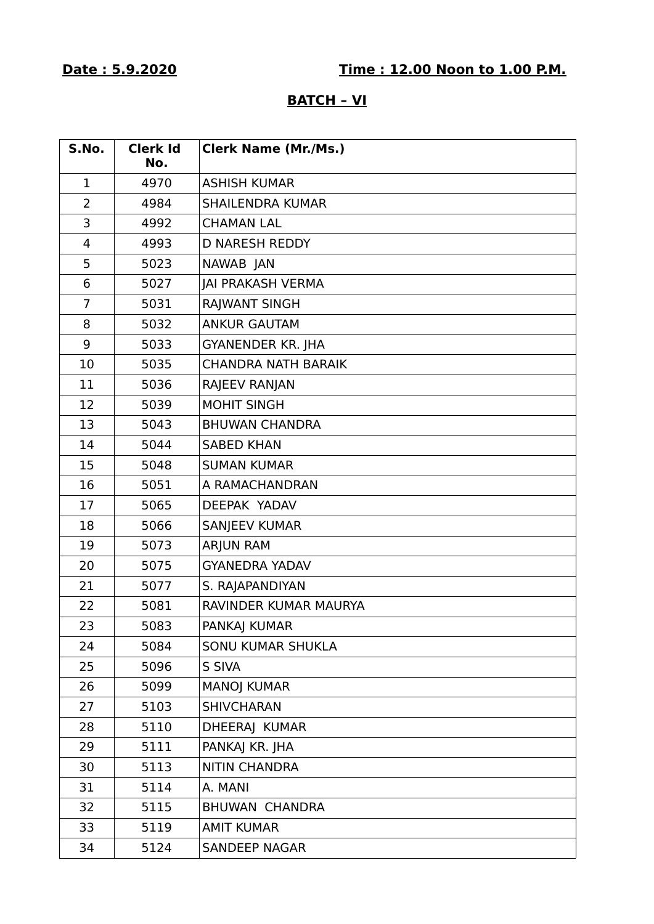# **Date : 5.9.2020 Time : 12.00 Noon to 1.00 P.M.**

## **BATCH – VI**

| S.No.          | <b>Clerk Id</b><br>No. | <b>Clerk Name (Mr./Ms.)</b> |
|----------------|------------------------|-----------------------------|
| 1              | 4970                   | <b>ASHISH KUMAR</b>         |
| $\overline{2}$ | 4984                   | <b>SHAILENDRA KUMAR</b>     |
| 3              | 4992                   | <b>CHAMAN LAL</b>           |
| 4              | 4993                   | <b>D NARESH REDDY</b>       |
| 5              | 5023                   | NAWAB JAN                   |
| 6              | 5027                   | <b>JAI PRAKASH VERMA</b>    |
| $\overline{7}$ | 5031                   | RAJWANT SINGH               |
| 8              | 5032                   | <b>ANKUR GAUTAM</b>         |
| 9              | 5033                   | <b>GYANENDER KR. JHA</b>    |
| 10             | 5035                   | <b>CHANDRA NATH BARAIK</b>  |
| 11             | 5036                   | RAJEEV RANJAN               |
| 12             | 5039                   | <b>MOHIT SINGH</b>          |
| 13             | 5043                   | <b>BHUWAN CHANDRA</b>       |
| 14             | 5044                   | <b>SABED KHAN</b>           |
| 15             | 5048                   | <b>SUMAN KUMAR</b>          |
| 16             | 5051                   | A RAMACHANDRAN              |
| 17             | 5065                   | DEEPAK YADAV                |
| 18             | 5066                   | <b>SANJEEV KUMAR</b>        |
| 19             | 5073                   | <b>ARJUN RAM</b>            |
| 20             | 5075                   | <b>GYANEDRA YADAV</b>       |
| 21             | 5077                   | S. RAJAPANDIYAN             |
| 22             | 5081                   | RAVINDER KUMAR MAURYA       |
| 23             | 5083                   | PANKAJ KUMAR                |
| 24             | 5084                   | <b>SONU KUMAR SHUKLA</b>    |
| 25             | 5096                   | S SIVA                      |
| 26             | 5099                   | <b>MANOJ KUMAR</b>          |
| 27             | 5103                   | <b>SHIVCHARAN</b>           |
| 28             | 5110                   | DHEERAJ KUMAR               |
| 29             | 5111                   | PANKAJ KR. JHA              |
| 30             | 5113                   | <b>NITIN CHANDRA</b>        |
| 31             | 5114                   | A. MANI                     |
| 32             | 5115                   | <b>BHUWAN CHANDRA</b>       |
| 33             | 5119                   | <b>AMIT KUMAR</b>           |
| 34             | 5124                   | <b>SANDEEP NAGAR</b>        |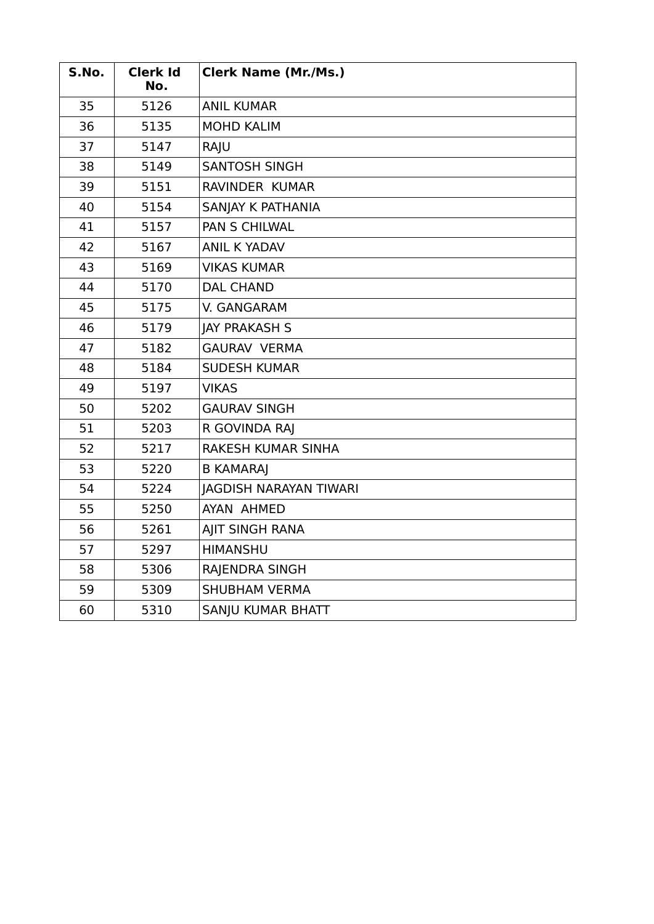| S.No. | <b>Clerk Id</b><br>No. | <b>Clerk Name (Mr./Ms.)</b>   |
|-------|------------------------|-------------------------------|
| 35    | 5126                   | <b>ANIL KUMAR</b>             |
| 36    | 5135                   | <b>MOHD KALIM</b>             |
| 37    | 5147                   | RAJU                          |
| 38    | 5149                   | <b>SANTOSH SINGH</b>          |
| 39    | 5151                   | RAVINDER KUMAR                |
| 40    | 5154                   | SANJAY K PATHANIA             |
| 41    | 5157                   | <b>PAN S CHILWAL</b>          |
| 42    | 5167                   | <b>ANIL K YADAV</b>           |
| 43    | 5169                   | <b>VIKAS KUMAR</b>            |
| 44    | 5170                   | <b>DAL CHAND</b>              |
| 45    | 5175                   | V. GANGARAM                   |
| 46    | 5179                   | <b>JAY PRAKASH S</b>          |
| 47    | 5182                   | <b>GAURAV VERMA</b>           |
| 48    | 5184                   | <b>SUDESH KUMAR</b>           |
| 49    | 5197                   | <b>VIKAS</b>                  |
| 50    | 5202                   | <b>GAURAV SINGH</b>           |
| 51    | 5203                   | R GOVINDA RAJ                 |
| 52    | 5217                   | RAKESH KUMAR SINHA            |
| 53    | 5220                   | <b>B KAMARAJ</b>              |
| 54    | 5224                   | <b>JAGDISH NARAYAN TIWARI</b> |
| 55    | 5250                   | AYAN AHMED                    |
| 56    | 5261                   | AJIT SINGH RANA               |
| 57    | 5297                   | <b>HIMANSHU</b>               |
| 58    | 5306                   | RAJENDRA SINGH                |
| 59    | 5309                   | <b>SHUBHAM VERMA</b>          |
| 60    | 5310                   | SANJU KUMAR BHATT             |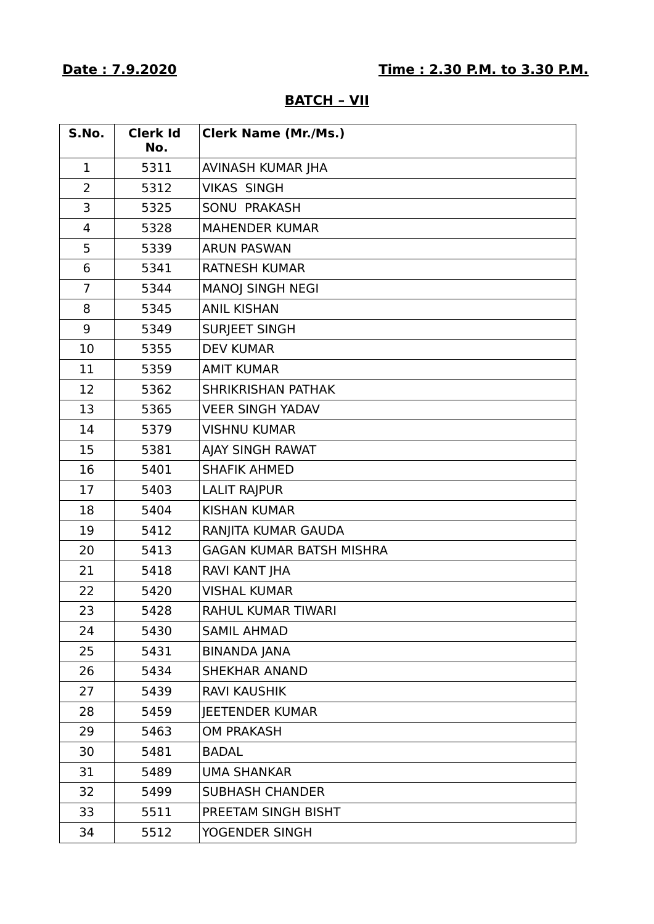## **BATCH – VII**

| S.No.          | <b>Clerk Id</b><br>No. | <b>Clerk Name (Mr./Ms.)</b>     |
|----------------|------------------------|---------------------------------|
| $\mathbf 1$    | 5311                   | AVINASH KUMAR JHA               |
| $\overline{2}$ | 5312                   | <b>VIKAS SINGH</b>              |
| 3              | 5325                   | SONU PRAKASH                    |
| 4              | 5328                   | <b>MAHENDER KUMAR</b>           |
| 5              | 5339                   | <b>ARUN PASWAN</b>              |
| 6              | 5341                   | <b>RATNESH KUMAR</b>            |
| $\overline{7}$ | 5344                   | <b>MANOJ SINGH NEGI</b>         |
| 8              | 5345                   | <b>ANIL KISHAN</b>              |
| 9              | 5349                   | <b>SURJEET SINGH</b>            |
| 10             | 5355                   | <b>DEV KUMAR</b>                |
| 11             | 5359                   | <b>AMIT KUMAR</b>               |
| 12             | 5362                   | <b>SHRIKRISHAN PATHAK</b>       |
| 13             | 5365                   | <b>VEER SINGH YADAV</b>         |
| 14             | 5379                   | <b>VISHNU KUMAR</b>             |
| 15             | 5381                   | AJAY SINGH RAWAT                |
| 16             | 5401                   | <b>SHAFIK AHMED</b>             |
| 17             | 5403                   | <b>LALIT RAJPUR</b>             |
| 18             | 5404                   | <b>KISHAN KUMAR</b>             |
| 19             | 5412                   | RANJITA KUMAR GAUDA             |
| 20             | 5413                   | <b>GAGAN KUMAR BATSH MISHRA</b> |
| 21             | 5418                   | RAVI KANT JHA                   |
| 22             | 5420                   | <b>VISHAL KUMAR</b>             |
| 23             | 5428                   | RAHUL KUMAR TIWARI              |
| 24             | 5430                   | <b>SAMIL AHMAD</b>              |
| 25             | 5431                   | <b>BINANDA JANA</b>             |
| 26             | 5434                   | <b>SHEKHAR ANAND</b>            |
| 27             | 5439                   | <b>RAVI KAUSHIK</b>             |
| 28             | 5459                   | <b>IEETENDER KUMAR</b>          |
| 29             | 5463                   | <b>OM PRAKASH</b>               |
| 30             | 5481                   | <b>BADAL</b>                    |
| 31             | 5489                   | <b>UMA SHANKAR</b>              |
| 32             | 5499                   | <b>SUBHASH CHANDER</b>          |
| 33             | 5511                   | PREETAM SINGH BISHT             |
| 34             | 5512                   | YOGENDER SINGH                  |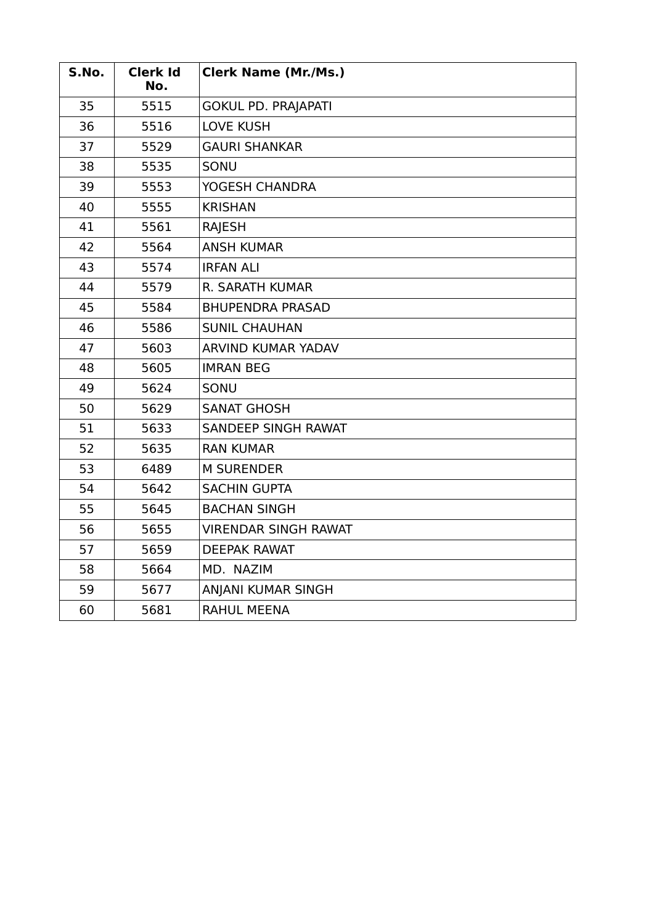| S.No. | <b>Clerk Id</b><br>No. | <b>Clerk Name (Mr./Ms.)</b> |
|-------|------------------------|-----------------------------|
| 35    | 5515                   | <b>GOKUL PD. PRAJAPATI</b>  |
| 36    | 5516                   | <b>LOVE KUSH</b>            |
| 37    | 5529                   | <b>GAURI SHANKAR</b>        |
| 38    | 5535                   | SONU                        |
| 39    | 5553                   | YOGESH CHANDRA              |
| 40    | 5555                   | <b>KRISHAN</b>              |
| 41    | 5561                   | <b>RAJESH</b>               |
| 42    | 5564                   | <b>ANSH KUMAR</b>           |
| 43    | 5574                   | <b>IRFAN ALI</b>            |
| 44    | 5579                   | R. SARATH KUMAR             |
| 45    | 5584                   | <b>BHUPENDRA PRASAD</b>     |
| 46    | 5586                   | <b>SUNIL CHAUHAN</b>        |
| 47    | 5603                   | ARVIND KUMAR YADAV          |
| 48    | 5605                   | <b>IMRAN BEG</b>            |
| 49    | 5624                   | SONU                        |
| 50    | 5629                   | <b>SANAT GHOSH</b>          |
| 51    | 5633                   | <b>SANDEEP SINGH RAWAT</b>  |
| 52    | 5635                   | <b>RAN KUMAR</b>            |
| 53    | 6489                   | <b>M SURENDER</b>           |
| 54    | 5642                   | <b>SACHIN GUPTA</b>         |
| 55    | 5645                   | <b>BACHAN SINGH</b>         |
| 56    | 5655                   | <b>VIRENDAR SINGH RAWAT</b> |
| 57    | 5659                   | <b>DEEPAK RAWAT</b>         |
| 58    | 5664                   | MD. NAZIM                   |
| 59    | 5677                   | ANJANI KUMAR SINGH          |
| 60    | 5681                   | <b>RAHUL MEENA</b>          |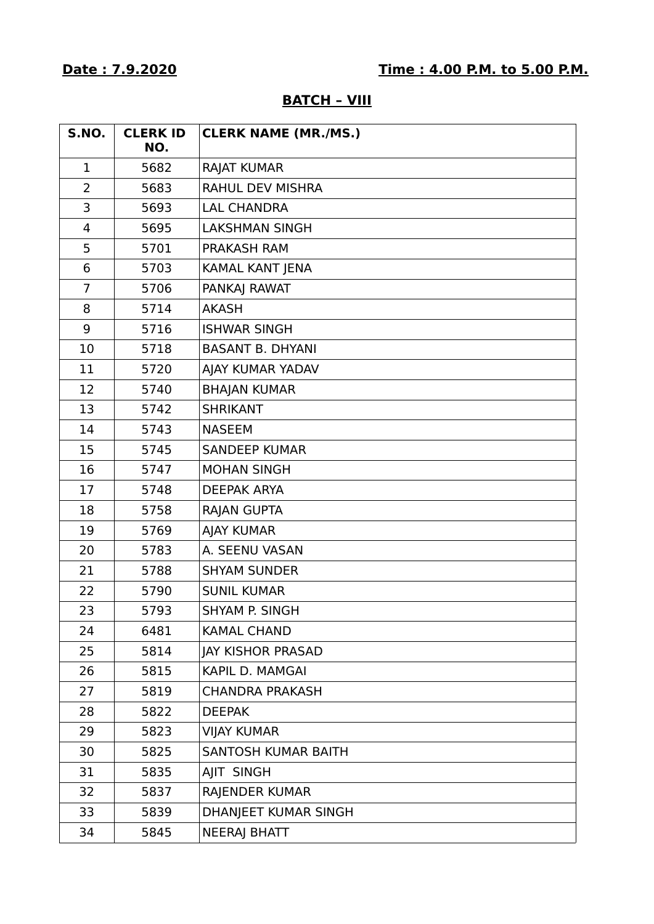| <b>S.NO.</b>   | <b>CLERK ID</b><br>NO. | <b>CLERK NAME (MR./MS.)</b> |
|----------------|------------------------|-----------------------------|
| $\mathbf 1$    | 5682                   | <b>RAJAT KUMAR</b>          |
| $\overline{2}$ | 5683                   | <b>RAHUL DEV MISHRA</b>     |
| 3              | 5693                   | <b>LAL CHANDRA</b>          |
| 4              | 5695                   | <b>LAKSHMAN SINGH</b>       |
| 5              | 5701                   | <b>PRAKASH RAM</b>          |
| 6              | 5703                   | KAMAL KANT JENA             |
| $\overline{7}$ | 5706                   | PANKAJ RAWAT                |
| 8              | 5714                   | <b>AKASH</b>                |
| 9              | 5716                   | <b>ISHWAR SINGH</b>         |
| 10             | 5718                   | <b>BASANT B. DHYANI</b>     |
| 11             | 5720                   | AJAY KUMAR YADAV            |
| 12             | 5740                   | <b>BHAJAN KUMAR</b>         |
| 13             | 5742                   | <b>SHRIKANT</b>             |
| 14             | 5743                   | <b>NASEEM</b>               |
| 15             | 5745                   | <b>SANDEEP KUMAR</b>        |
| 16             | 5747                   | <b>MOHAN SINGH</b>          |
| 17             | 5748                   | <b>DEEPAK ARYA</b>          |
| 18             | 5758                   | RAJAN GUPTA                 |
| 19             | 5769                   | <b>AJAY KUMAR</b>           |
| 20             | 5783                   | A. SEENU VASAN              |
| 21             | 5788                   | <b>SHYAM SUNDER</b>         |
| 22             | 5790                   | <b>SUNIL KUMAR</b>          |
| 23             | 5793                   | SHYAM P. SINGH              |
| 24             | 6481                   | <b>KAMAL CHAND</b>          |
| 25             | 5814                   | <b>JAY KISHOR PRASAD</b>    |
| 26             | 5815                   | KAPIL D. MAMGAI             |
| 27             | 5819                   | <b>CHANDRA PRAKASH</b>      |
| 28             | 5822                   | <b>DEEPAK</b>               |
| 29             | 5823                   | <b>VIJAY KUMAR</b>          |
| 30             | 5825                   | SANTOSH KUMAR BAITH         |
| 31             | 5835                   | AJIT SINGH                  |
| 32             | 5837                   | RAJENDER KUMAR              |
| 33             | 5839                   | DHANJEET KUMAR SINGH        |
| 34             | 5845                   | <b>NEERAJ BHATT</b>         |

## **BATCH – VIII**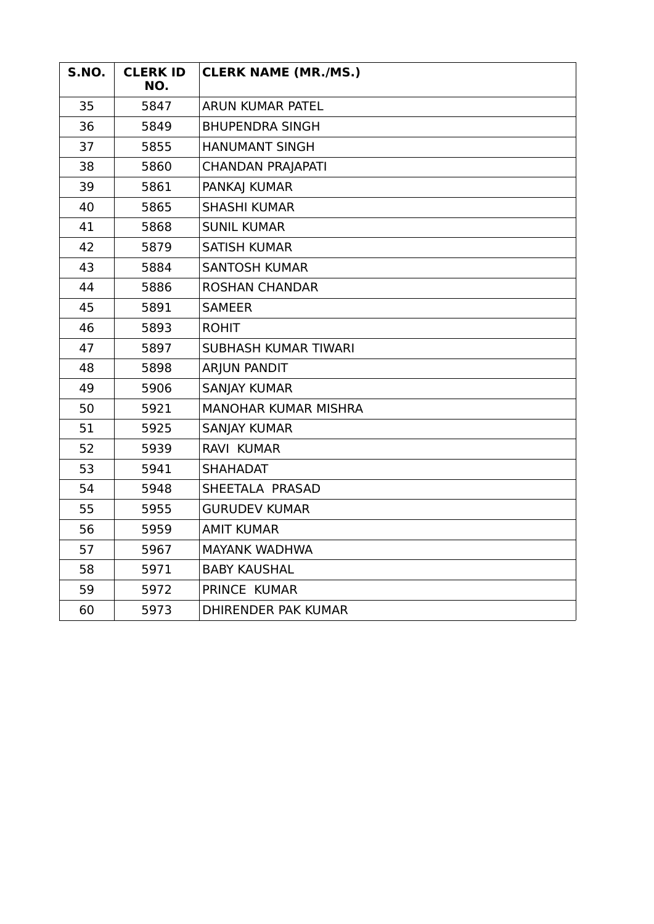| <b>S.NO.</b> | <b>CLERK ID</b><br>NO. | <b>CLERK NAME (MR./MS.)</b> |
|--------------|------------------------|-----------------------------|
| 35           | 5847                   | <b>ARUN KUMAR PATEL</b>     |
| 36           | 5849                   | <b>BHUPENDRA SINGH</b>      |
| 37           | 5855                   | <b>HANUMANT SINGH</b>       |
| 38           | 5860                   | <b>CHANDAN PRAJAPATI</b>    |
| 39           | 5861                   | PANKAJ KUMAR                |
| 40           | 5865                   | <b>SHASHI KUMAR</b>         |
| 41           | 5868                   | <b>SUNIL KUMAR</b>          |
| 42           | 5879                   | <b>SATISH KUMAR</b>         |
| 43           | 5884                   | <b>SANTOSH KUMAR</b>        |
| 44           | 5886                   | <b>ROSHAN CHANDAR</b>       |
| 45           | 5891                   | <b>SAMEER</b>               |
| 46           | 5893                   | <b>ROHIT</b>                |
| 47           | 5897                   | <b>SUBHASH KUMAR TIWARI</b> |
| 48           | 5898                   | <b>ARJUN PANDIT</b>         |
| 49           | 5906                   | <b>SANJAY KUMAR</b>         |
| 50           | 5921                   | <b>MANOHAR KUMAR MISHRA</b> |
| 51           | 5925                   | <b>SANJAY KUMAR</b>         |
| 52           | 5939                   | <b>RAVI KUMAR</b>           |
| 53           | 5941                   | <b>SHAHADAT</b>             |
| 54           | 5948                   | SHEETALA PRASAD             |
| 55           | 5955                   | <b>GURUDEV KUMAR</b>        |
| 56           | 5959                   | <b>AMIT KUMAR</b>           |
| 57           | 5967                   | <b>MAYANK WADHWA</b>        |
| 58           | 5971                   | <b>BABY KAUSHAL</b>         |
| 59           | 5972                   | PRINCE KUMAR                |
| 60           | 5973                   | <b>DHIRENDER PAK KUMAR</b>  |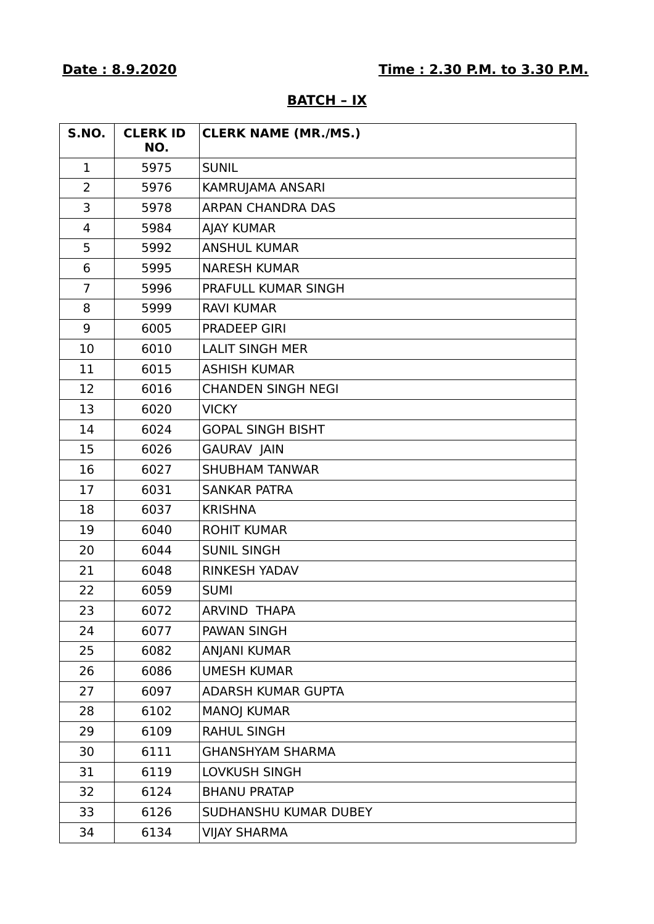| AT (<br>ш.<br>$\ddot{\phantom{a}}$<br>п<br>ים. |  |
|------------------------------------------------|--|
|                                                |  |

| <b>S.NO.</b>   | <b>CLERK ID</b><br>NO. | <b>CLERK NAME (MR./MS.)</b> |
|----------------|------------------------|-----------------------------|
| 1              | 5975                   | <b>SUNIL</b>                |
| $\overline{2}$ | 5976                   | KAMRUJAMA ANSARI            |
| 3              | 5978                   | ARPAN CHANDRA DAS           |
| $\overline{4}$ | 5984                   | <b>AJAY KUMAR</b>           |
| 5              | 5992                   | <b>ANSHUL KUMAR</b>         |
| 6              | 5995                   | <b>NARESH KUMAR</b>         |
| $\overline{7}$ | 5996                   | PRAFULL KUMAR SINGH         |
| 8              | 5999                   | <b>RAVI KUMAR</b>           |
| 9              | 6005                   | <b>PRADEEP GIRI</b>         |
| 10             | 6010                   | <b>LALIT SINGH MER</b>      |
| 11             | 6015                   | <b>ASHISH KUMAR</b>         |
| 12             | 6016                   | <b>CHANDEN SINGH NEGI</b>   |
| 13             | 6020                   | <b>VICKY</b>                |
| 14             | 6024                   | <b>GOPAL SINGH BISHT</b>    |
| 15             | 6026                   | <b>GAURAV JAIN</b>          |
| 16             | 6027                   | <b>SHUBHAM TANWAR</b>       |
| 17             | 6031                   | <b>SANKAR PATRA</b>         |
| 18             | 6037                   | <b>KRISHNA</b>              |
| 19             | 6040                   | <b>ROHIT KUMAR</b>          |
| 20             | 6044                   | <b>SUNIL SINGH</b>          |
| 21             | 6048                   | <b>RINKESH YADAV</b>        |
| 22             | 6059                   | <b>SUMI</b>                 |
| 23             | 6072                   | ARVIND THAPA                |
| 24             | 6077                   | PAWAN SINGH                 |
| 25             | 6082                   | <b>ANJANI KUMAR</b>         |
| 26             | 6086                   | <b>UMESH KUMAR</b>          |
| 27             | 6097                   | ADARSH KUMAR GUPTA          |
| 28             | 6102                   | <b>MANOJ KUMAR</b>          |
| 29             | 6109                   | <b>RAHUL SINGH</b>          |
| 30             | 6111                   | <b>GHANSHYAM SHARMA</b>     |
| 31             | 6119                   | LOVKUSH SINGH               |
| 32             | 6124                   | <b>BHANU PRATAP</b>         |
| 33             | 6126                   | SUDHANSHU KUMAR DUBEY       |
| 34             | 6134                   | <b>VIJAY SHARMA</b>         |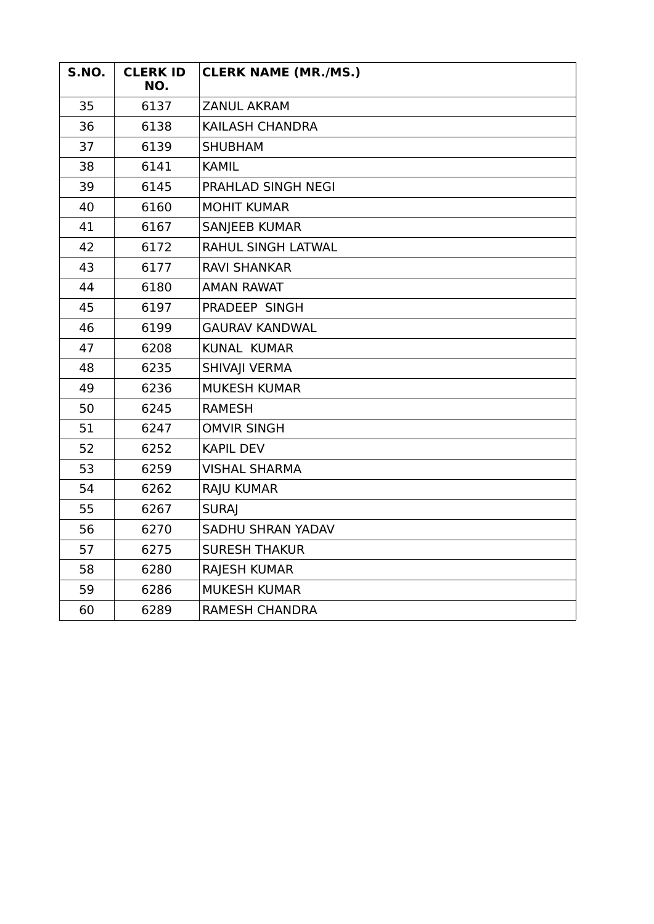| S.NO. | <b>CLERK ID</b><br>NO. | <b>CLERK NAME (MR./MS.)</b> |
|-------|------------------------|-----------------------------|
| 35    | 6137                   | <b>ZANUL AKRAM</b>          |
| 36    | 6138                   | KAILASH CHANDRA             |
| 37    | 6139                   | <b>SHUBHAM</b>              |
| 38    | 6141                   | <b>KAMIL</b>                |
| 39    | 6145                   | PRAHLAD SINGH NEGI          |
| 40    | 6160                   | <b>MOHIT KUMAR</b>          |
| 41    | 6167                   | <b>SANJEEB KUMAR</b>        |
| 42    | 6172                   | RAHUL SINGH LATWAL          |
| 43    | 6177                   | <b>RAVI SHANKAR</b>         |
| 44    | 6180                   | <b>AMAN RAWAT</b>           |
| 45    | 6197                   | PRADEEP SINGH               |
| 46    | 6199                   | <b>GAURAV KANDWAL</b>       |
| 47    | 6208                   | <b>KUNAL KUMAR</b>          |
| 48    | 6235                   | SHIVAJI VERMA               |
| 49    | 6236                   | <b>MUKESH KUMAR</b>         |
| 50    | 6245                   | <b>RAMESH</b>               |
| 51    | 6247                   | <b>OMVIR SINGH</b>          |
| 52    | 6252                   | <b>KAPIL DEV</b>            |
| 53    | 6259                   | <b>VISHAL SHARMA</b>        |
| 54    | 6262                   | <b>RAJU KUMAR</b>           |
| 55    | 6267                   | <b>SURAI</b>                |
| 56    | 6270                   | SADHU SHRAN YADAV           |
| 57    | 6275                   | <b>SURESH THAKUR</b>        |
| 58    | 6280                   | <b>RAJESH KUMAR</b>         |
| 59    | 6286                   | <b>MUKESH KUMAR</b>         |
| 60    | 6289                   | <b>RAMESH CHANDRA</b>       |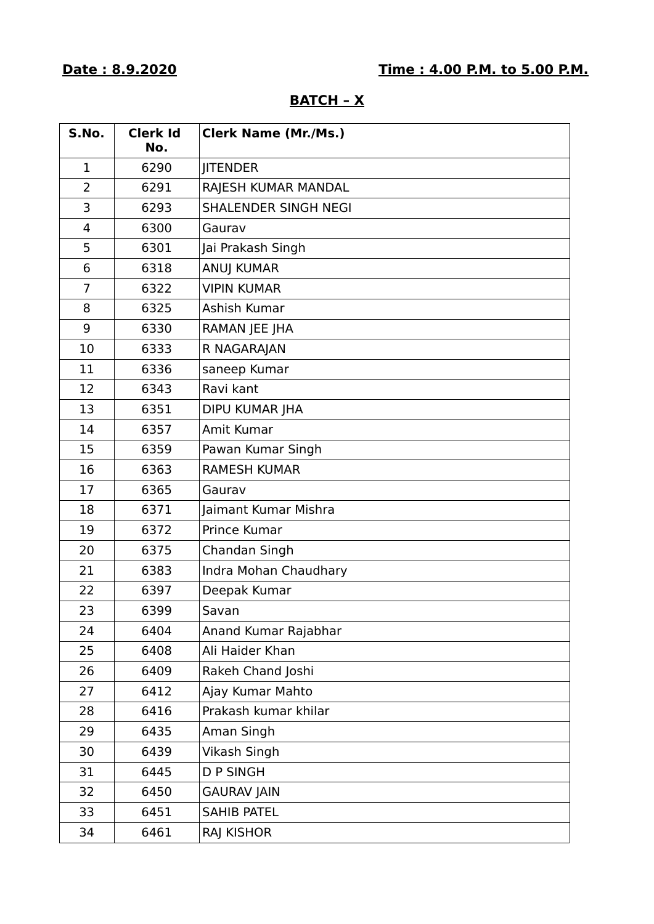| S.No.          | <b>Clerk Id</b><br>No. | <b>Clerk Name (Mr./Ms.)</b> |
|----------------|------------------------|-----------------------------|
| 1              | 6290                   | <b>JITENDER</b>             |
| $\overline{2}$ | 6291                   | RAJESH KUMAR MANDAL         |
| 3              | 6293                   | SHALENDER SINGH NEGI        |
| 4              | 6300                   | Gaurav                      |
| 5              | 6301                   | Jai Prakash Singh           |
| 6              | 6318                   | <b>ANUJ KUMAR</b>           |
| $\overline{7}$ | 6322                   | <b>VIPIN KUMAR</b>          |
| 8              | 6325                   | Ashish Kumar                |
| 9              | 6330                   | RAMAN JEE JHA               |
| 10             | 6333                   | R NAGARAJAN                 |
| 11             | 6336                   | saneep Kumar                |
| 12             | 6343                   | Ravi kant                   |
| 13             | 6351                   | <b>DIPU KUMAR JHA</b>       |
| 14             | 6357                   | Amit Kumar                  |
| 15             | 6359                   | Pawan Kumar Singh           |
| 16             | 6363                   | <b>RAMESH KUMAR</b>         |
| 17             | 6365                   | Gaurav                      |
| 18             | 6371                   | Jaimant Kumar Mishra        |
| 19             | 6372                   | Prince Kumar                |
| 20             | 6375                   | Chandan Singh               |
| 21             | 6383                   | Indra Mohan Chaudhary       |
| 22             | 6397                   | Deepak Kumar                |
| 23             | 6399                   | Savan                       |
| 24             | 6404                   | Anand Kumar Rajabhar        |
| 25             | 6408                   | Ali Haider Khan             |
| 26             | 6409                   | Rakeh Chand Joshi           |
| 27             | 6412                   | Ajay Kumar Mahto            |
| 28             | 6416                   | Prakash kumar khilar        |
| 29             | 6435                   | Aman Singh                  |
| 30             | 6439                   | Vikash Singh                |
| 31             | 6445                   | <b>D P SINGH</b>            |
| 32             | 6450                   | <b>GAURAV JAIN</b>          |
| 33             | 6451                   | <b>SAHIB PATEL</b>          |
| 34             | 6461                   | RAJ KISHOR                  |

### **BATCH – X**